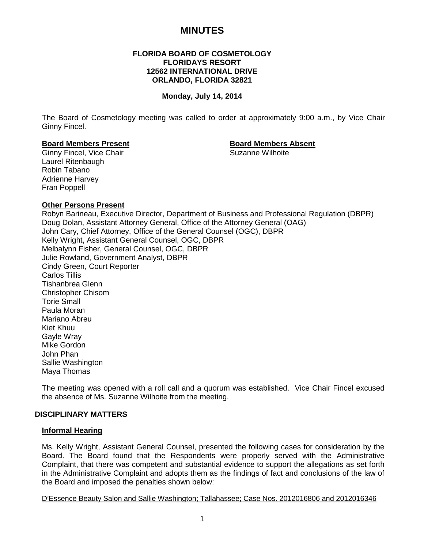# **MINUTES**

# **FLORIDA BOARD OF COSMETOLOGY FLORIDAYS RESORT 12562 INTERNATIONAL DRIVE ORLANDO, FLORIDA 32821**

# **Monday, July 14, 2014**

The Board of Cosmetology meeting was called to order at approximately 9:00 a.m., by Vice Chair Ginny Fincel.

# **Board Members Present Board Members Absent**

Ginny Fincel, Vice Chair Laurel Ritenbaugh Robin Tabano Adrienne Harvey Fran Poppell

# **Other Persons Present**

Robyn Barineau, Executive Director, Department of Business and Professional Regulation (DBPR) Doug Dolan, Assistant Attorney General, Office of the Attorney General (OAG) John Cary, Chief Attorney, Office of the General Counsel (OGC), DBPR Kelly Wright, Assistant General Counsel, OGC, DBPR Melbalynn Fisher, General Counsel, OGC, DBPR Julie Rowland, Government Analyst, DBPR Cindy Green, Court Reporter Carlos Tillis Tishanbrea Glenn Christopher Chisom Torie Small Paula Moran Mariano Abreu Kiet Khuu Gayle Wray Mike Gordon John Phan Sallie Washington Maya Thomas

The meeting was opened with a roll call and a quorum was established. Vice Chair Fincel excused the absence of Ms. Suzanne Wilhoite from the meeting.

# **DISCIPLINARY MATTERS**

# **Informal Hearing**

Ms. Kelly Wright, Assistant General Counsel, presented the following cases for consideration by the Board. The Board found that the Respondents were properly served with the Administrative Complaint, that there was competent and substantial evidence to support the allegations as set forth in the Administrative Complaint and adopts them as the findings of fact and conclusions of the law of the Board and imposed the penalties shown below:

D'Essence Beauty Salon and Sallie Washington; Tallahassee; Case Nos. 2012016806 and 2012016346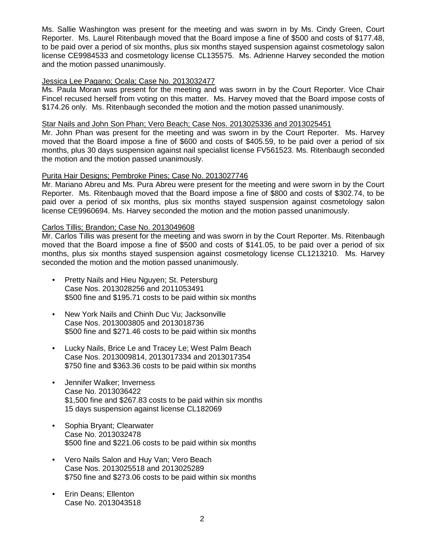Ms. Sallie Washington was present for the meeting and was sworn in by Ms. Cindy Green, Court Reporter. Ms. Laurel Ritenbaugh moved that the Board impose a fine of \$500 and costs of \$177.48, to be paid over a period of six months, plus six months stayed suspension against cosmetology salon license CE9984533 and cosmetology license CL135575. Ms. Adrienne Harvey seconded the motion and the motion passed unanimously.

# Jessica Lee Pagano; Ocala; Case No. 2013032477

Ms. Paula Moran was present for the meeting and was sworn in by the Court Reporter. Vice Chair Fincel recused herself from voting on this matter. Ms. Harvey moved that the Board impose costs of \$174.26 only. Ms. Ritenbaugh seconded the motion and the motion passed unanimously.

# Star Nails and John Son Phan; Vero Beach; Case Nos. 2013025336 and 2013025451

Mr. John Phan was present for the meeting and was sworn in by the Court Reporter. Ms. Harvey moved that the Board impose a fine of \$600 and costs of \$405.59, to be paid over a period of six months, plus 30 days suspension against nail specialist license FV561523. Ms. Ritenbaugh seconded the motion and the motion passed unanimously.

# Purita Hair Designs; Pembroke Pines; Case No. 2013027746

Mr. Mariano Abreu and Ms. Pura Abreu were present for the meeting and were sworn in by the Court Reporter. Ms. Ritenbaugh moved that the Board impose a fine of \$800 and costs of \$302.74, to be paid over a period of six months, plus six months stayed suspension against cosmetology salon license CE9960694. Ms. Harvey seconded the motion and the motion passed unanimously.

# Carlos Tillis; Brandon; Case No. 2013049608

Mr. Carlos Tillis was present for the meeting and was sworn in by the Court Reporter. Ms. Ritenbaugh moved that the Board impose a fine of \$500 and costs of \$141.05, to be paid over a period of six months, plus six months stayed suspension against cosmetology license CL1213210. Ms. Harvey seconded the motion and the motion passed unanimously.

- Pretty Nails and Hieu Nguyen; St. Petersburg Case Nos. 2013028256 and 2011053491 \$500 fine and \$195.71 costs to be paid within six months
- New York Nails and Chinh Duc Vu; Jacksonville Case Nos. 2013003805 and 2013018736 \$500 fine and \$271.46 costs to be paid within six months
- Lucky Nails, Brice Le and Tracey Le; West Palm Beach Case Nos. 2013009814, 2013017334 and 2013017354 \$750 fine and \$363.36 costs to be paid within six months
- Jennifer Walker; Inverness Case No. 2013036422 \$1,500 fine and \$267.83 costs to be paid within six months 15 days suspension against license CL182069
- Sophia Bryant; Clearwater Case No. 2013032478 \$500 fine and \$221.06 costs to be paid within six months
- Vero Nails Salon and Huy Van; Vero Beach Case Nos. 2013025518 and 2013025289 \$750 fine and \$273.06 costs to be paid within six months
- Erin Deans; Ellenton Case No. 2013043518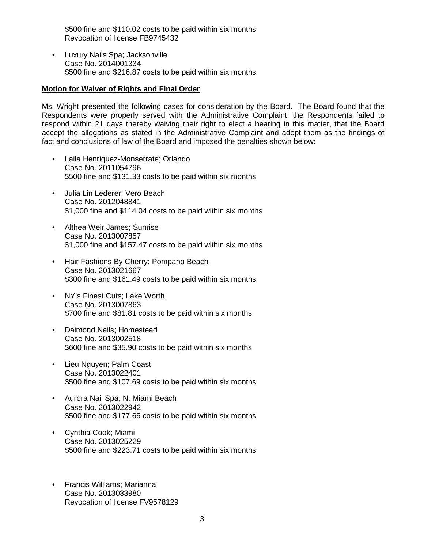\$500 fine and \$110.02 costs to be paid within six months Revocation of license FB9745432

• Luxury Nails Spa; Jacksonville Case No. 2014001334 \$500 fine and \$216.87 costs to be paid within six months

# **Motion for Waiver of Rights and Final Order**

Ms. Wright presented the following cases for consideration by the Board. The Board found that the Respondents were properly served with the Administrative Complaint, the Respondents failed to respond within 21 days thereby waiving their right to elect a hearing in this matter, that the Board accept the allegations as stated in the Administrative Complaint and adopt them as the findings of fact and conclusions of law of the Board and imposed the penalties shown below:

- Laila Henriquez-Monserrate; Orlando Case No. 2011054796 \$500 fine and \$131.33 costs to be paid within six months
- Julia Lin Lederer; Vero Beach Case No. 2012048841 \$1,000 fine and \$114.04 costs to be paid within six months
- Althea Weir James; Sunrise Case No. 2013007857 \$1,000 fine and \$157.47 costs to be paid within six months
- Hair Fashions By Cherry; Pompano Beach Case No. 2013021667 \$300 fine and \$161.49 costs to be paid within six months
- NY's Finest Cuts; Lake Worth Case No. 2013007863 \$700 fine and \$81.81 costs to be paid within six months
- Daimond Nails; Homestead Case No. 2013002518 \$600 fine and \$35.90 costs to be paid within six months
- Lieu Nguyen; Palm Coast Case No. 2013022401 \$500 fine and \$107.69 costs to be paid within six months
- Aurora Nail Spa; N. Miami Beach Case No. 2013022942 \$500 fine and \$177.66 costs to be paid within six months
- Cynthia Cook; Miami Case No. 2013025229 \$500 fine and \$223.71 costs to be paid within six months
- Francis Williams; Marianna Case No. 2013033980 Revocation of license FV9578129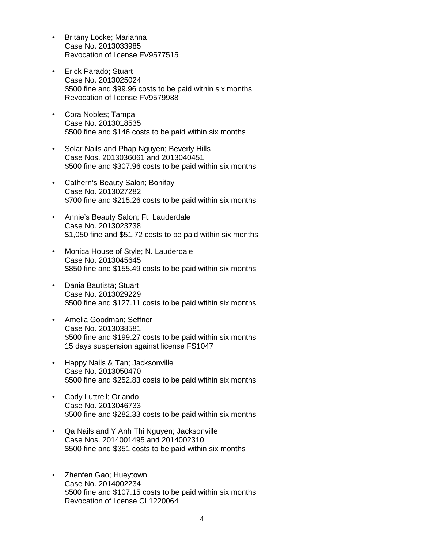- Britany Locke; Marianna Case No. 2013033985 Revocation of license FV9577515
- Erick Parado; Stuart Case No. 2013025024 \$500 fine and \$99.96 costs to be paid within six months Revocation of license FV9579988
- Cora Nobles; Tampa Case No. 2013018535 \$500 fine and \$146 costs to be paid within six months
- Solar Nails and Phap Nguyen; Beverly Hills Case Nos. 2013036061 and 2013040451 \$500 fine and \$307.96 costs to be paid within six months
- Cathern's Beauty Salon; Bonifay Case No. 2013027282 \$700 fine and \$215.26 costs to be paid within six months
- Annie's Beauty Salon; Ft. Lauderdale Case No. 2013023738 \$1,050 fine and \$51.72 costs to be paid within six months
- Monica House of Style; N. Lauderdale Case No. 2013045645 \$850 fine and \$155.49 costs to be paid within six months
- Dania Bautista; Stuart Case No. 2013029229 \$500 fine and \$127.11 costs to be paid within six months
- Amelia Goodman; Seffner Case No. 2013038581 \$500 fine and \$199.27 costs to be paid within six months 15 days suspension against license FS1047
- Happy Nails & Tan; Jacksonville Case No. 2013050470 \$500 fine and \$252.83 costs to be paid within six months
- Cody Luttrell; Orlando Case No. 2013046733 \$500 fine and \$282.33 costs to be paid within six months
- Qa Nails and Y Anh Thi Nguyen; Jacksonville Case Nos. 2014001495 and 2014002310 \$500 fine and \$351 costs to be paid within six months
- Zhenfen Gao; Hueytown Case No. 2014002234 \$500 fine and \$107.15 costs to be paid within six months Revocation of license CL1220064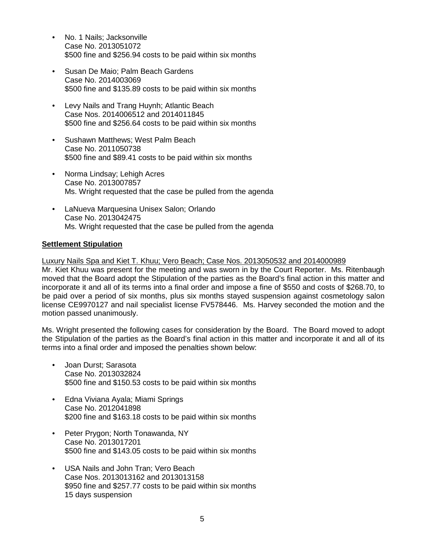- No. 1 Nails; Jacksonville Case No. 2013051072 \$500 fine and \$256.94 costs to be paid within six months
- Susan De Maio; Palm Beach Gardens Case No. 2014003069 \$500 fine and \$135.89 costs to be paid within six months
- Levy Nails and Trang Huynh; Atlantic Beach Case Nos. 2014006512 and 2014011845 \$500 fine and \$256.64 costs to be paid within six months
- Sushawn Matthews; West Palm Beach Case No. 2011050738 \$500 fine and \$89.41 costs to be paid within six months
- Norma Lindsay; Lehigh Acres Case No. 2013007857 Ms. Wright requested that the case be pulled from the agenda
- LaNueva Marquesina Unisex Salon; Orlando Case No. 2013042475 Ms. Wright requested that the case be pulled from the agenda

# **Settlement Stipulation**

Luxury Nails Spa and Kiet T. Khuu; Vero Beach; Case Nos. 2013050532 and 2014000989

Mr. Kiet Khuu was present for the meeting and was sworn in by the Court Reporter. Ms. Ritenbaugh moved that the Board adopt the Stipulation of the parties as the Board's final action in this matter and incorporate it and all of its terms into a final order and impose a fine of \$550 and costs of \$268.70, to be paid over a period of six months, plus six months stayed suspension against cosmetology salon license CE9970127 and nail specialist license FV578446. Ms. Harvey seconded the motion and the motion passed unanimously.

Ms. Wright presented the following cases for consideration by the Board. The Board moved to adopt the Stipulation of the parties as the Board's final action in this matter and incorporate it and all of its terms into a final order and imposed the penalties shown below:

- Joan Durst; Sarasota Case No. 2013032824 \$500 fine and \$150.53 costs to be paid within six months
- Edna Viviana Ayala; Miami Springs Case No. 2012041898 \$200 fine and \$163.18 costs to be paid within six months
- Peter Prygon; North Tonawanda, NY Case No. 2013017201 \$500 fine and \$143.05 costs to be paid within six months
- USA Nails and John Tran; Vero Beach Case Nos. 2013013162 and 2013013158 \$950 fine and \$257.77 costs to be paid within six months 15 days suspension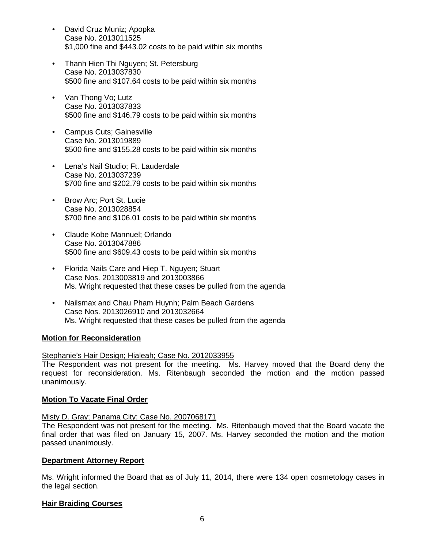- David Cruz Muniz; Apopka Case No. 2013011525 \$1,000 fine and \$443.02 costs to be paid within six months
- Thanh Hien Thi Nguyen; St. Petersburg Case No. 2013037830 \$500 fine and \$107.64 costs to be paid within six months
- Van Thong Vo; Lutz Case No. 2013037833 \$500 fine and \$146.79 costs to be paid within six months
- Campus Cuts; Gainesville Case No. 2013019889 \$500 fine and \$155.28 costs to be paid within six months
- Lena's Nail Studio; Ft. Lauderdale Case No. 2013037239 \$700 fine and \$202.79 costs to be paid within six months
- Brow Arc; Port St. Lucie Case No. 2013028854 \$700 fine and \$106.01 costs to be paid within six months
- Claude Kobe Mannuel; Orlando Case No. 2013047886 \$500 fine and \$609.43 costs to be paid within six months
- Florida Nails Care and Hiep T. Nguyen; Stuart Case Nos. 2013003819 and 2013003866 Ms. Wright requested that these cases be pulled from the agenda
- Nailsmax and Chau Pham Huynh; Palm Beach Gardens Case Nos. 2013026910 and 2013032664 Ms. Wright requested that these cases be pulled from the agenda

# **Motion for Reconsideration**

Stephanie's Hair Design; Hialeah; Case No. 2012033955

The Respondent was not present for the meeting. Ms. Harvey moved that the Board deny the request for reconsideration. Ms. Ritenbaugh seconded the motion and the motion passed unanimously.

# **Motion To Vacate Final Order**

# Misty D. Gray; Panama City; Case No. 2007068171

The Respondent was not present for the meeting. Ms. Ritenbaugh moved that the Board vacate the final order that was filed on January 15, 2007. Ms. Harvey seconded the motion and the motion passed unanimously.

# **Department Attorney Report**

Ms. Wright informed the Board that as of July 11, 2014, there were 134 open cosmetology cases in the legal section.

# **Hair Braiding Courses**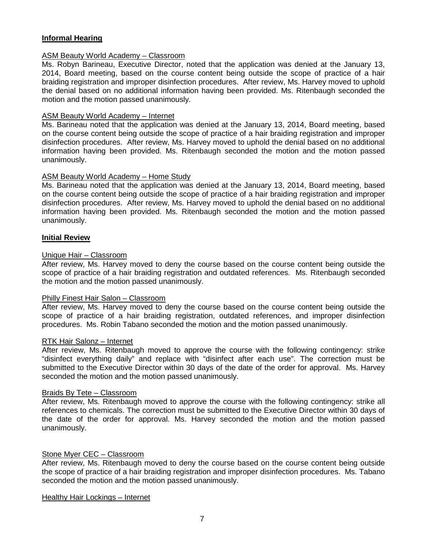# **Informal Hearing**

# ASM Beauty World Academy – Classroom

Ms. Robyn Barineau, Executive Director, noted that the application was denied at the January 13, 2014, Board meeting, based on the course content being outside the scope of practice of a hair braiding registration and improper disinfection procedures. After review, Ms. Harvey moved to uphold the denial based on no additional information having been provided. Ms. Ritenbaugh seconded the motion and the motion passed unanimously.

# ASM Beauty World Academy – Internet

Ms. Barineau noted that the application was denied at the January 13, 2014, Board meeting, based on the course content being outside the scope of practice of a hair braiding registration and improper disinfection procedures. After review, Ms. Harvey moved to uphold the denial based on no additional information having been provided. Ms. Ritenbaugh seconded the motion and the motion passed unanimously.

# ASM Beauty World Academy – Home Study

Ms. Barineau noted that the application was denied at the January 13, 2014, Board meeting, based on the course content being outside the scope of practice of a hair braiding registration and improper disinfection procedures. After review, Ms. Harvey moved to uphold the denial based on no additional information having been provided. Ms. Ritenbaugh seconded the motion and the motion passed unanimously.

# **Initial Review**

# Unique Hair – Classroom

After review, Ms. Harvey moved to deny the course based on the course content being outside the scope of practice of a hair braiding registration and outdated references. Ms. Ritenbaugh seconded the motion and the motion passed unanimously.

# Philly Finest Hair Salon – Classroom

After review, Ms. Harvey moved to deny the course based on the course content being outside the scope of practice of a hair braiding registration, outdated references, and improper disinfection procedures. Ms. Robin Tabano seconded the motion and the motion passed unanimously.

# RTK Hair Salonz – Internet

After review, Ms. Ritenbaugh moved to approve the course with the following contingency: strike "disinfect everything daily" and replace with "disinfect after each use". The correction must be submitted to the Executive Director within 30 days of the date of the order for approval. Ms. Harvey seconded the motion and the motion passed unanimously.

# Braids By Tete – Classroom

After review, Ms. Ritenbaugh moved to approve the course with the following contingency: strike all references to chemicals. The correction must be submitted to the Executive Director within 30 days of the date of the order for approval. Ms. Harvey seconded the motion and the motion passed unanimously.

# Stone Myer CEC – Classroom

After review, Ms. Ritenbaugh moved to deny the course based on the course content being outside the scope of practice of a hair braiding registration and improper disinfection procedures. Ms. Tabano seconded the motion and the motion passed unanimously.

#### Healthy Hair Lockings – Internet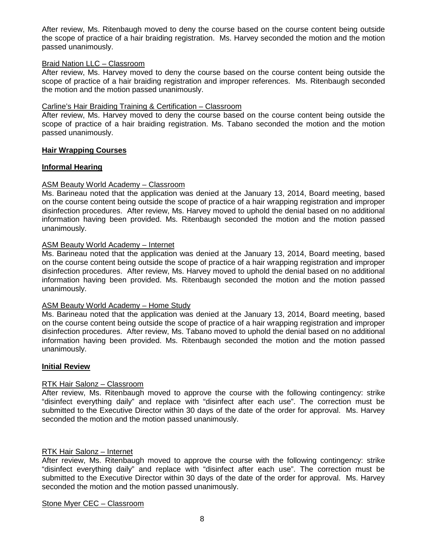After review, Ms. Ritenbaugh moved to deny the course based on the course content being outside the scope of practice of a hair braiding registration. Ms. Harvey seconded the motion and the motion passed unanimously.

# Braid Nation LLC – Classroom

After review, Ms. Harvey moved to deny the course based on the course content being outside the scope of practice of a hair braiding registration and improper references. Ms. Ritenbaugh seconded the motion and the motion passed unanimously.

# Carline's Hair Braiding Training & Certification – Classroom

After review, Ms. Harvey moved to deny the course based on the course content being outside the scope of practice of a hair braiding registration. Ms. Tabano seconded the motion and the motion passed unanimously.

# **Hair Wrapping Courses**

# **Informal Hearing**

# ASM Beauty World Academy – Classroom

Ms. Barineau noted that the application was denied at the January 13, 2014, Board meeting, based on the course content being outside the scope of practice of a hair wrapping registration and improper disinfection procedures. After review, Ms. Harvey moved to uphold the denial based on no additional information having been provided. Ms. Ritenbaugh seconded the motion and the motion passed unanimously.

# ASM Beauty World Academy – Internet

Ms. Barineau noted that the application was denied at the January 13, 2014, Board meeting, based on the course content being outside the scope of practice of a hair wrapping registration and improper disinfection procedures. After review, Ms. Harvey moved to uphold the denial based on no additional information having been provided. Ms. Ritenbaugh seconded the motion and the motion passed unanimously.

# ASM Beauty World Academy – Home Study

Ms. Barineau noted that the application was denied at the January 13, 2014, Board meeting, based on the course content being outside the scope of practice of a hair wrapping registration and improper disinfection procedures. After review, Ms. Tabano moved to uphold the denial based on no additional information having been provided. Ms. Ritenbaugh seconded the motion and the motion passed unanimously.

# **Initial Review**

# RTK Hair Salonz – Classroom

After review, Ms. Ritenbaugh moved to approve the course with the following contingency: strike "disinfect everything daily" and replace with "disinfect after each use". The correction must be submitted to the Executive Director within 30 days of the date of the order for approval. Ms. Harvey seconded the motion and the motion passed unanimously.

# RTK Hair Salonz – Internet

After review, Ms. Ritenbaugh moved to approve the course with the following contingency: strike "disinfect everything daily" and replace with "disinfect after each use". The correction must be submitted to the Executive Director within 30 days of the date of the order for approval. Ms. Harvey seconded the motion and the motion passed unanimously.

# Stone Myer CEC – Classroom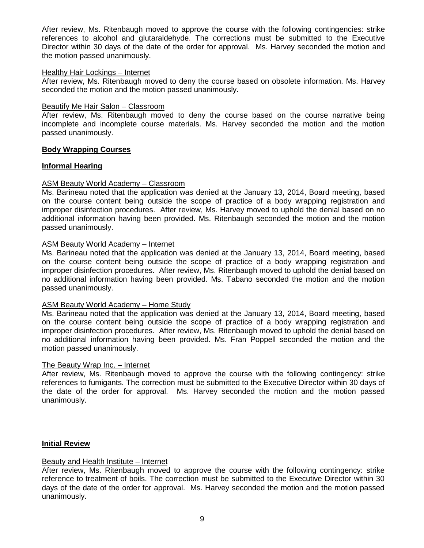After review, Ms. Ritenbaugh moved to approve the course with the following contingencies: strike references to alcohol and glutaraldehyde. The corrections must be submitted to the Executive Director within 30 days of the date of the order for approval. Ms. Harvey seconded the motion and the motion passed unanimously.

#### Healthy Hair Lockings – Internet

After review, Ms. Ritenbaugh moved to deny the course based on obsolete information. Ms. Harvey seconded the motion and the motion passed unanimously.

#### Beautify Me Hair Salon – Classroom

After review, Ms. Ritenbaugh moved to deny the course based on the course narrative being incomplete and incomplete course materials. Ms. Harvey seconded the motion and the motion passed unanimously.

# **Body Wrapping Courses**

# **Informal Hearing**

# ASM Beauty World Academy – Classroom

Ms. Barineau noted that the application was denied at the January 13, 2014, Board meeting, based on the course content being outside the scope of practice of a body wrapping registration and improper disinfection procedures. After review, Ms. Harvey moved to uphold the denial based on no additional information having been provided. Ms. Ritenbaugh seconded the motion and the motion passed unanimously.

# ASM Beauty World Academy – Internet

Ms. Barineau noted that the application was denied at the January 13, 2014, Board meeting, based on the course content being outside the scope of practice of a body wrapping registration and improper disinfection procedures. After review, Ms. Ritenbaugh moved to uphold the denial based on no additional information having been provided. Ms. Tabano seconded the motion and the motion passed unanimously.

# ASM Beauty World Academy – Home Study

Ms. Barineau noted that the application was denied at the January 13, 2014, Board meeting, based on the course content being outside the scope of practice of a body wrapping registration and improper disinfection procedures. After review, Ms. Ritenbaugh moved to uphold the denial based on no additional information having been provided. Ms. Fran Poppell seconded the motion and the motion passed unanimously.

# The Beauty Wrap Inc. – Internet

After review, Ms. Ritenbaugh moved to approve the course with the following contingency: strike references to fumigants. The correction must be submitted to the Executive Director within 30 days of the date of the order for approval. Ms. Harvey seconded the motion and the motion passed unanimously.

# **Initial Review**

# Beauty and Health Institute – Internet

After review, Ms. Ritenbaugh moved to approve the course with the following contingency: strike reference to treatment of boils. The correction must be submitted to the Executive Director within 30 days of the date of the order for approval. Ms. Harvey seconded the motion and the motion passed unanimously.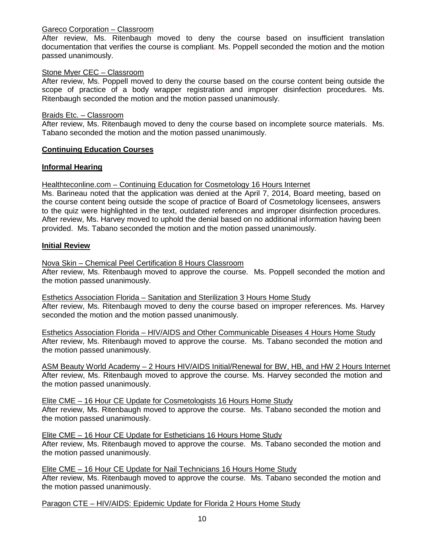# Gareco Corporation – Classroom

After review, Ms. Ritenbaugh moved to deny the course based on insufficient translation documentation that verifies the course is compliant. Ms. Poppell seconded the motion and the motion passed unanimously.

# Stone Myer CEC – Classroom

After review, Ms. Poppell moved to deny the course based on the course content being outside the scope of practice of a body wrapper registration and improper disinfection procedures. Ms. Ritenbaugh seconded the motion and the motion passed unanimously.

# Braids Etc. – Classroom

After review, Ms. Ritenbaugh moved to deny the course based on incomplete source materials. Ms. Tabano seconded the motion and the motion passed unanimously.

# **Continuing Education Courses**

# **Informal Hearing**

Healthteconline.com – Continuing Education for Cosmetology 16 Hours Internet

Ms. Barineau noted that the application was denied at the April 7, 2014, Board meeting, based on the course content being outside the scope of practice of Board of Cosmetology licensees, answers to the quiz were highlighted in the text, outdated references and improper disinfection procedures. After review, Ms. Harvey moved to uphold the denial based on no additional information having been provided. Ms. Tabano seconded the motion and the motion passed unanimously.

# **Initial Review**

Nova Skin – Chemical Peel Certification 8 Hours Classroom

After review, Ms. Ritenbaugh moved to approve the course. Ms. Poppell seconded the motion and the motion passed unanimously.

Esthetics Association Florida – Sanitation and Sterilization 3 Hours Home Study After review, Ms. Ritenbaugh moved to deny the course based on improper references. Ms. Harvey seconded the motion and the motion passed unanimously.

Esthetics Association Florida – HIV/AIDS and Other Communicable Diseases 4 Hours Home Study After review, Ms. Ritenbaugh moved to approve the course. Ms. Tabano seconded the motion and the motion passed unanimously.

ASM Beauty World Academy – 2 Hours HIV/AIDS Initial/Renewal for BW, HB, and HW 2 Hours Internet After review, Ms. Ritenbaugh moved to approve the course. Ms. Harvey seconded the motion and the motion passed unanimously.

Elite CME – 16 Hour CE Update for Cosmetologists 16 Hours Home Study After review, Ms. Ritenbaugh moved to approve the course. Ms. Tabano seconded the motion and the motion passed unanimously.

Elite CME – 16 Hour CE Update for Estheticians 16 Hours Home Study After review, Ms. Ritenbaugh moved to approve the course. Ms. Tabano seconded the motion and the motion passed unanimously.

Elite CME – 16 Hour CE Update for Nail Technicians 16 Hours Home Study After review, Ms. Ritenbaugh moved to approve the course. Ms. Tabano seconded the motion and the motion passed unanimously.

Paragon CTE – HIV/AIDS: Epidemic Update for Florida 2 Hours Home Study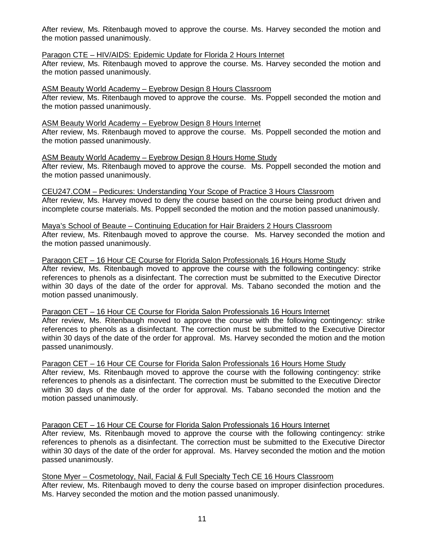After review, Ms. Ritenbaugh moved to approve the course. Ms. Harvey seconded the motion and the motion passed unanimously.

# Paragon CTE – HIV/AIDS: Epidemic Update for Florida 2 Hours Internet

After review, Ms. Ritenbaugh moved to approve the course. Ms. Harvey seconded the motion and the motion passed unanimously.

# ASM Beauty World Academy – Eyebrow Design 8 Hours Classroom

After review, Ms. Ritenbaugh moved to approve the course. Ms. Poppell seconded the motion and the motion passed unanimously.

# ASM Beauty World Academy – Eyebrow Design 8 Hours Internet

After review, Ms. Ritenbaugh moved to approve the course. Ms. Poppell seconded the motion and the motion passed unanimously.

#### ASM Beauty World Academy – Eyebrow Design 8 Hours Home Study After review, Ms. Ritenbaugh moved to approve the course. Ms. Poppell seconded the motion and the motion passed unanimously.

CEU247.COM – Pedicures: Understanding Your Scope of Practice 3 Hours Classroom After review, Ms. Harvey moved to deny the course based on the course being product driven and incomplete course materials. Ms. Poppell seconded the motion and the motion passed unanimously.

#### Maya's School of Beaute – Continuing Education for Hair Braiders 2 Hours Classroom After review, Ms. Ritenbaugh moved to approve the course. Ms. Harvey seconded the motion and the motion passed unanimously.

# Paragon CET – 16 Hour CE Course for Florida Salon Professionals 16 Hours Home Study After review, Ms. Ritenbaugh moved to approve the course with the following contingency: strike references to phenols as a disinfectant. The correction must be submitted to the Executive Director within 30 days of the date of the order for approval. Ms. Tabano seconded the motion and the motion passed unanimously.

# Paragon CET – 16 Hour CE Course for Florida Salon Professionals 16 Hours Internet After review, Ms. Ritenbaugh moved to approve the course with the following contingency: strike references to phenols as a disinfectant. The correction must be submitted to the Executive Director within 30 days of the date of the order for approval. Ms. Harvey seconded the motion and the motion passed unanimously.

#### Paragon CET – 16 Hour CE Course for Florida Salon Professionals 16 Hours Home Study After review, Ms. Ritenbaugh moved to approve the course with the following contingency: strike references to phenols as a disinfectant. The correction must be submitted to the Executive Director within 30 days of the date of the order for approval. Ms. Tabano seconded the motion and the motion passed unanimously.

# Paragon CET – 16 Hour CE Course for Florida Salon Professionals 16 Hours Internet

After review, Ms. Ritenbaugh moved to approve the course with the following contingency: strike references to phenols as a disinfectant. The correction must be submitted to the Executive Director within 30 days of the date of the order for approval. Ms. Harvey seconded the motion and the motion passed unanimously.

Stone Myer – Cosmetology, Nail, Facial & Full Specialty Tech CE 16 Hours Classroom After review, Ms. Ritenbaugh moved to deny the course based on improper disinfection procedures. Ms. Harvey seconded the motion and the motion passed unanimously.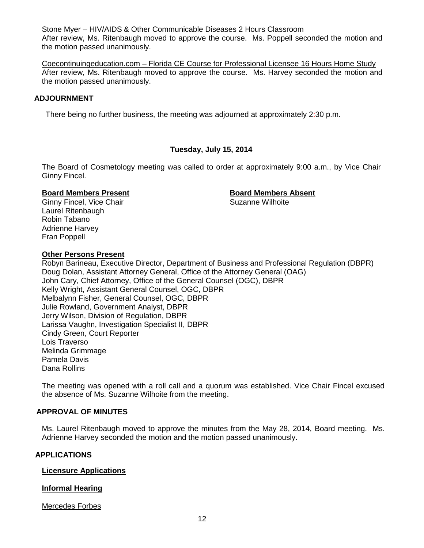Stone Myer – HIV/AIDS & Other Communicable Diseases 2 Hours Classroom

After review, Ms. Ritenbaugh moved to approve the course. Ms. Poppell seconded the motion and the motion passed unanimously.

Coecontinuingeducation.com – Florida CE Course for Professional Licensee 16 Hours Home Study After review, Ms. Ritenbaugh moved to approve the course. Ms. Harvey seconded the motion and the motion passed unanimously.

# **ADJOURNMENT**

There being no further business, the meeting was adjourned at approximately 2:30 p.m.

# **Tuesday, July 15, 2014**

The Board of Cosmetology meeting was called to order at approximately 9:00 a.m., by Vice Chair Ginny Fincel.

**Board Members Present**<br> **Board Members Absent**<br> **Ginny Fincel. Vice Chair**<br> **Board Members Absent**<br> **Board Members Absent** Ginny Fincel, Vice Chair Laurel Ritenbaugh Robin Tabano Adrienne Harvey Fran Poppell

# **Other Persons Present**

Robyn Barineau, Executive Director, Department of Business and Professional Regulation (DBPR) Doug Dolan, Assistant Attorney General, Office of the Attorney General (OAG) John Cary, Chief Attorney, Office of the General Counsel (OGC), DBPR Kelly Wright, Assistant General Counsel, OGC, DBPR Melbalynn Fisher, General Counsel, OGC, DBPR Julie Rowland, Government Analyst, DBPR Jerry Wilson, Division of Regulation, DBPR Larissa Vaughn, Investigation Specialist II, DBPR Cindy Green, Court Reporter Lois Traverso Melinda Grimmage Pamela Davis Dana Rollins

The meeting was opened with a roll call and a quorum was established. Vice Chair Fincel excused the absence of Ms. Suzanne Wilhoite from the meeting.

# **APPROVAL OF MINUTES**

Ms. Laurel Ritenbaugh moved to approve the minutes from the May 28, 2014, Board meeting. Ms. Adrienne Harvey seconded the motion and the motion passed unanimously.

# **APPLICATIONS**

# **Licensure Applications**

# **Informal Hearing**

Mercedes Forbes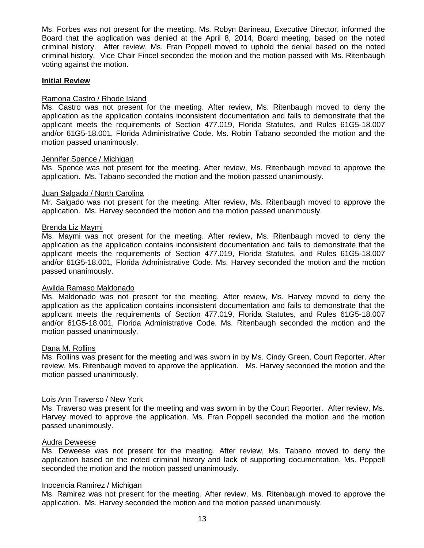Ms. Forbes was not present for the meeting. Ms. Robyn Barineau, Executive Director, informed the Board that the application was denied at the April 8, 2014, Board meeting, based on the noted criminal history. After review, Ms. Fran Poppell moved to uphold the denial based on the noted criminal history. Vice Chair Fincel seconded the motion and the motion passed with Ms. Ritenbaugh voting against the motion.

#### **Initial Review**

#### Ramona Castro / Rhode Island

Ms. Castro was not present for the meeting. After review, Ms. Ritenbaugh moved to deny the application as the application contains inconsistent documentation and fails to demonstrate that the applicant meets the requirements of Section 477.019, Florida Statutes, and Rules 61G5-18.007 and/or 61G5-18.001, Florida Administrative Code. Ms. Robin Tabano seconded the motion and the motion passed unanimously.

#### Jennifer Spence / Michigan

Ms. Spence was not present for the meeting. After review, Ms. Ritenbaugh moved to approve the application. Ms. Tabano seconded the motion and the motion passed unanimously.

#### Juan Salgado / North Carolina

Mr. Salgado was not present for the meeting. After review, Ms. Ritenbaugh moved to approve the application. Ms. Harvey seconded the motion and the motion passed unanimously.

#### Brenda Liz Maymi

Ms. Maymi was not present for the meeting. After review, Ms. Ritenbaugh moved to deny the application as the application contains inconsistent documentation and fails to demonstrate that the applicant meets the requirements of Section 477.019, Florida Statutes, and Rules 61G5-18.007 and/or 61G5-18.001, Florida Administrative Code. Ms. Harvey seconded the motion and the motion passed unanimously.

# Awilda Ramaso Maldonado

Ms. Maldonado was not present for the meeting. After review, Ms. Harvey moved to deny the application as the application contains inconsistent documentation and fails to demonstrate that the applicant meets the requirements of Section 477.019, Florida Statutes, and Rules 61G5-18.007 and/or 61G5-18.001, Florida Administrative Code. Ms. Ritenbaugh seconded the motion and the motion passed unanimously.

#### Dana M. Rollins

Ms. Rollins was present for the meeting and was sworn in by Ms. Cindy Green, Court Reporter. After review, Ms. Ritenbaugh moved to approve the application. Ms. Harvey seconded the motion and the motion passed unanimously.

# Lois Ann Traverso / New York

Ms. Traverso was present for the meeting and was sworn in by the Court Reporter. After review, Ms. Harvey moved to approve the application. Ms. Fran Poppell seconded the motion and the motion passed unanimously.

#### Audra Deweese

Ms. Deweese was not present for the meeting. After review, Ms. Tabano moved to deny the application based on the noted criminal history and lack of supporting documentation. Ms. Poppell seconded the motion and the motion passed unanimously.

# Inocencia Ramirez / Michigan

Ms. Ramirez was not present for the meeting. After review, Ms. Ritenbaugh moved to approve the application. Ms. Harvey seconded the motion and the motion passed unanimously.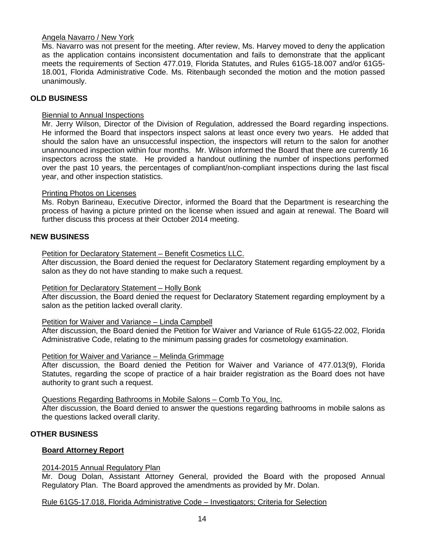# Angela Navarro / New York

Ms. Navarro was not present for the meeting. After review, Ms. Harvey moved to deny the application as the application contains inconsistent documentation and fails to demonstrate that the applicant meets the requirements of Section 477.019, Florida Statutes, and Rules 61G5-18.007 and/or 61G5- 18.001, Florida Administrative Code. Ms. Ritenbaugh seconded the motion and the motion passed unanimously.

# **OLD BUSINESS**

# Biennial to Annual Inspections

Mr. Jerry Wilson, Director of the Division of Regulation, addressed the Board regarding inspections. He informed the Board that inspectors inspect salons at least once every two years. He added that should the salon have an unsuccessful inspection, the inspectors will return to the salon for another unannounced inspection within four months. Mr. Wilson informed the Board that there are currently 16 inspectors across the state. He provided a handout outlining the number of inspections performed over the past 10 years, the percentages of compliant/non-compliant inspections during the last fiscal year, and other inspection statistics.

# Printing Photos on Licenses

Ms. Robyn Barineau, Executive Director, informed the Board that the Department is researching the process of having a picture printed on the license when issued and again at renewal. The Board will further discuss this process at their October 2014 meeting.

# **NEW BUSINESS**

Petition for Declaratory Statement – Benefit Cosmetics LLC.

After discussion, the Board denied the request for Declaratory Statement regarding employment by a salon as they do not have standing to make such a request.

# Petition for Declaratory Statement – Holly Bonk

After discussion, the Board denied the request for Declaratory Statement regarding employment by a salon as the petition lacked overall clarity.

# Petition for Waiver and Variance – Linda Campbell

After discussion, the Board denied the Petition for Waiver and Variance of Rule 61G5-22.002, Florida Administrative Code, relating to the minimum passing grades for cosmetology examination.

# Petition for Waiver and Variance – Melinda Grimmage

After discussion, the Board denied the Petition for Waiver and Variance of 477.013(9), Florida Statutes, regarding the scope of practice of a hair braider registration as the Board does not have authority to grant such a request.

Questions Regarding Bathrooms in Mobile Salons – Comb To You, Inc.

After discussion, the Board denied to answer the questions regarding bathrooms in mobile salons as the questions lacked overall clarity.

# **OTHER BUSINESS**

# **Board Attorney Report**

# 2014-2015 Annual Regulatory Plan

Mr. Doug Dolan, Assistant Attorney General, provided the Board with the proposed Annual Regulatory Plan. The Board approved the amendments as provided by Mr. Dolan.

Rule 61G5-17.018, Florida Administrative Code – Investigators; Criteria for Selection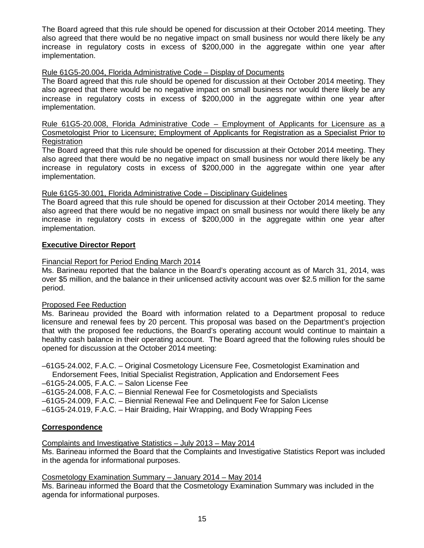The Board agreed that this rule should be opened for discussion at their October 2014 meeting. They also agreed that there would be no negative impact on small business nor would there likely be any increase in regulatory costs in excess of \$200,000 in the aggregate within one year after implementation.

# Rule 61G5-20.004, Florida Administrative Code – Display of Documents

The Board agreed that this rule should be opened for discussion at their October 2014 meeting. They also agreed that there would be no negative impact on small business nor would there likely be any increase in regulatory costs in excess of \$200,000 in the aggregate within one year after implementation.

Rule 61G5-20.008, Florida Administrative Code – Employment of Applicants for Licensure as a Cosmetologist Prior to Licensure; Employment of Applicants for Registration as a Specialist Prior to **Registration** 

The Board agreed that this rule should be opened for discussion at their October 2014 meeting. They also agreed that there would be no negative impact on small business nor would there likely be any increase in regulatory costs in excess of \$200,000 in the aggregate within one year after implementation.

# Rule 61G5-30.001, Florida Administrative Code – Disciplinary Guidelines

The Board agreed that this rule should be opened for discussion at their October 2014 meeting. They also agreed that there would be no negative impact on small business nor would there likely be any increase in regulatory costs in excess of \$200,000 in the aggregate within one year after implementation.

# **Executive Director Report**

# Financial Report for Period Ending March 2014

Ms. Barineau reported that the balance in the Board's operating account as of March 31, 2014, was over \$5 million, and the balance in their unlicensed activity account was over \$2.5 million for the same period.

# Proposed Fee Reduction

Ms. Barineau provided the Board with information related to a Department proposal to reduce licensure and renewal fees by 20 percent. This proposal was based on the Department's projection that with the proposed fee reductions, the Board's operating account would continue to maintain a healthy cash balance in their operating account. The Board agreed that the following rules should be opened for discussion at the October 2014 meeting:

–61G5-24.002, F.A.C. – Original Cosmetology Licensure Fee, Cosmetologist Examination and

Endorsement Fees, Initial Specialist Registration, Application and Endorsement Fees –61G5-24.005, F.A.C. – Salon License Fee

–61G5-24.008, F.A.C. – Biennial Renewal Fee for Cosmetologists and Specialists

–61G5-24.009, F.A.C. – Biennial Renewal Fee and Delinquent Fee for Salon License

–61G5-24.019, F.A.C. – Hair Braiding, Hair Wrapping, and Body Wrapping Fees

# **Correspondence**

Complaints and Investigative Statistics – July 2013 – May 2014

Ms. Barineau informed the Board that the Complaints and Investigative Statistics Report was included in the agenda for informational purposes.

Cosmetology Examination Summary – January 2014 – May 2014

Ms. Barineau informed the Board that the Cosmetology Examination Summary was included in the agenda for informational purposes.